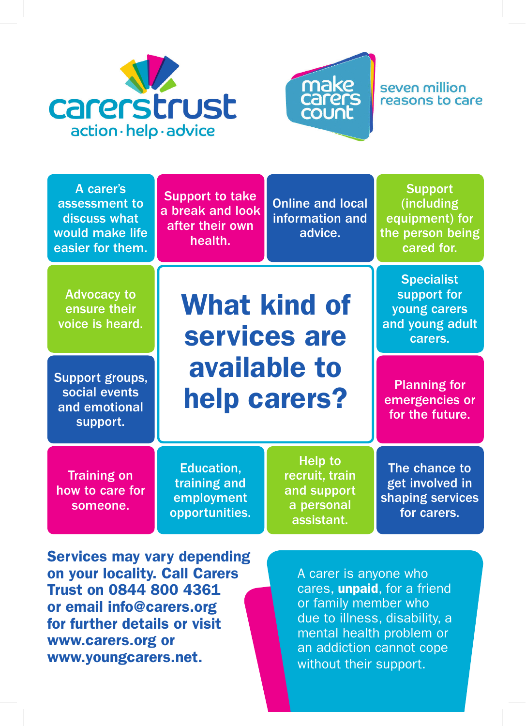



## seven million reasons to care

| A carer's<br>assessment to<br>discuss what<br>would make life<br>easier for them. | <b>Support to take</b><br>a break and look<br>after their own<br>health. | <b>Online and local</b><br>information and<br>advice.                       | <b>Support</b><br>(including<br>equipment) for<br>the person being<br>cared for. |
|-----------------------------------------------------------------------------------|--------------------------------------------------------------------------|-----------------------------------------------------------------------------|----------------------------------------------------------------------------------|
| <b>Advocacy to</b><br>ensure their<br>voice is heard.                             | <b>What kind of</b><br>services are<br>available to<br>help carers?      |                                                                             | <b>Specialist</b><br>support for<br>young carers<br>and young adult<br>carers.   |
| Support groups,<br>social events<br>and emotional<br>support.                     |                                                                          |                                                                             | <b>Planning for</b><br>emergencies or<br>for the future.                         |
| <b>Training on</b><br>how to care for<br>someone.                                 | Education,<br>training and<br>employment<br>opportunities.               | <b>Help to</b><br>recruit, train<br>and support<br>a personal<br>assistant. | The chance to<br>get involved in<br>shaping services<br>for carers.              |

Services may vary depending on your locality. Call Carers Trust on 0844 800 4361 or email info@carers.org for further details or visit www.carers.org or www.youngcarers.net.

A carer is anyone who cares, **unpaid**, for a friend or family member who due to illness, disability, a mental health problem or an addiction cannot cope without their support.